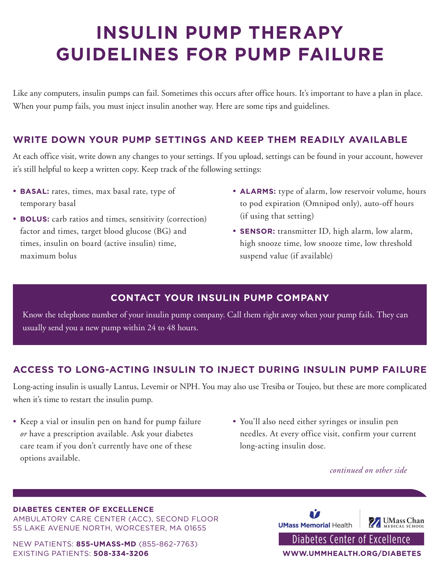# **INSULIN PUMP THERAPY GUIDELINES FOR PUMP FAILURE**

Like any computers, insulin pumps can fail. Sometimes this occurs after office hours. It's important to have a plan in place. When your pump fails, you must inject insulin another way. Here are some tips and guidelines.

## **WRITE DOWN YOUR PUMP SETTINGS AND KEEP THEM READILY AVAILABLE**

At each office visit, write down any changes to your settings. If you upload, settings can be found in your account, however it's still helpful to keep a written copy. Keep track of the following settings:

- **BASAL:** rates, times, max basal rate, type of temporary basal
- **BOLUS:** carb ratios and times, sensitivity (correction) factor and times, target blood glucose (BG) and times, insulin on board (active insulin) time, maximum bolus
- **ALARMS:** type of alarm, low reservoir volume, hours to pod expiration (Omnipod only), auto-off hours (if using that setting)
- **SENSOR:** transmitter ID, high alarm, low alarm, high snooze time, low snooze time, low threshold suspend value (if available)

## **CONTACT YOUR INSULIN PUMP COMPANY**

Know the telephone number of your insulin pump company. Call them right away when your pump fails. They can usually send you a new pump within 24 to 48 hours.

## **ACCESS TO LONG-ACTING INSULIN TO INJECT DURING INSULIN PUMP FAILURE**

Long-acting insulin is usually Lantus, Levemir or NPH. You may also use Tresiba or Toujeo, but these are more complicated when it's time to restart the insulin pump.

- Keep a vial or insulin pen on hand for pump failure *or* have a prescription available. Ask your diabetes care team if you don't currently have one of these options available.
- You'll also need either syringes or insulin pen needles. At every office visit, confirm your current long-acting insulin dose.

#### *continued on other side*

#### **DIABETES CENTER OF EXCELLENCE**

AMBULATORY CARE CENTER (ACC), SECOND FLOOR 55 LAKE AVENUE NORTH, WORCESTER, MA 01655

NEW PATIENTS: **855-UMASS-MD** (855-862-7763) EXISTING PATIENTS: **508-334-3206 WWW.UMMHEALTH.ORG/DIABETES**

Ñ *Mass* Chan **UMass Memorial Health** Diabetes Center of Excellence